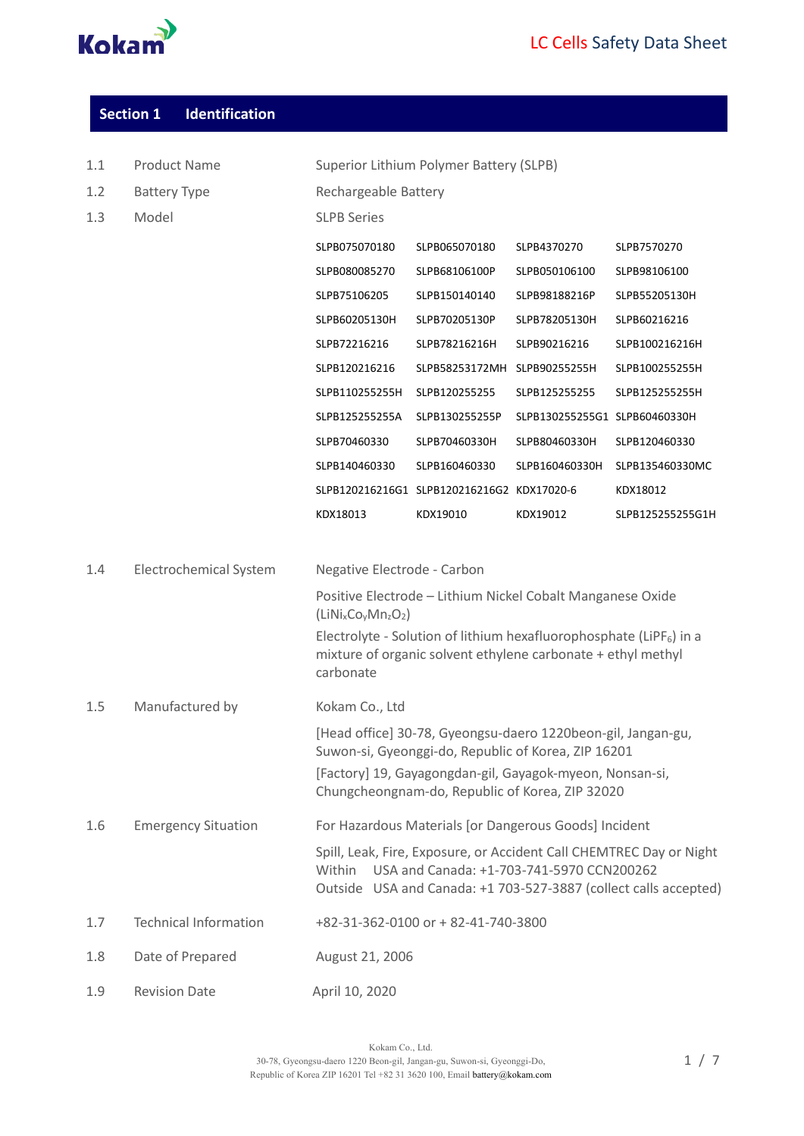

| <b>Section 1</b> | <b>Identification</b> |
|------------------|-----------------------|
|------------------|-----------------------|

| 1.1 | <b>Product Name</b>           | Superior Lithium Polymer Battery (SLPB) |                                                                                                                                         |                               |                                                                                                                                         |
|-----|-------------------------------|-----------------------------------------|-----------------------------------------------------------------------------------------------------------------------------------------|-------------------------------|-----------------------------------------------------------------------------------------------------------------------------------------|
| 1.2 | <b>Battery Type</b>           | Rechargeable Battery                    |                                                                                                                                         |                               |                                                                                                                                         |
| 1.3 | Model                         | <b>SLPB Series</b>                      |                                                                                                                                         |                               |                                                                                                                                         |
|     |                               | SLPB075070180                           | SLPB065070180                                                                                                                           | SLPB4370270                   | SLPB7570270                                                                                                                             |
|     |                               | SLPB080085270                           | SLPB68106100P                                                                                                                           | SLPB050106100                 | SLPB98106100                                                                                                                            |
|     |                               | SLPB75106205                            | SLPB150140140                                                                                                                           | SLPB98188216P                 | SLPB55205130H                                                                                                                           |
|     |                               | SLPB60205130H                           | SLPB70205130P                                                                                                                           | SLPB78205130H                 | SLPB60216216                                                                                                                            |
|     |                               | SLPB72216216                            | SLPB78216216H                                                                                                                           | SLPB90216216                  | SLPB100216216H                                                                                                                          |
|     |                               | SLPB120216216                           | SLPB58253172MH                                                                                                                          | SLPB90255255H                 | SLPB100255255H                                                                                                                          |
|     |                               | SLPB110255255H                          | SLPB120255255                                                                                                                           | SLPB125255255                 | SLPB125255255H                                                                                                                          |
|     |                               | SLPB125255255A                          | SLPB130255255P                                                                                                                          | SLPB130255255G1 SLPB60460330H |                                                                                                                                         |
|     |                               | SLPB70460330                            | SLPB70460330H                                                                                                                           | SLPB80460330H                 | SLPB120460330                                                                                                                           |
|     |                               | SLPB140460330                           | SLPB160460330                                                                                                                           | SLPB160460330H                | SLPB135460330MC                                                                                                                         |
|     |                               |                                         | SLPB120216216G1 SLPB120216216G2 KDX17020-6                                                                                              |                               | KDX18012                                                                                                                                |
|     |                               | KDX18013                                | KDX19010                                                                                                                                | KDX19012                      | SLPB125255255G1H                                                                                                                        |
|     |                               |                                         |                                                                                                                                         |                               |                                                                                                                                         |
| 1.4 | <b>Electrochemical System</b> | Negative Electrode - Carbon             |                                                                                                                                         |                               |                                                                                                                                         |
|     |                               | $(LiNixCoyMnzO2)$                       | Positive Electrode - Lithium Nickel Cobalt Manganese Oxide                                                                              |                               |                                                                                                                                         |
|     |                               | carbonate                               | Electrolyte - Solution of lithium hexafluorophosphate (LiPF $_6$ ) in a<br>mixture of organic solvent ethylene carbonate + ethyl methyl |                               |                                                                                                                                         |
| 1.5 | Manufactured by               | Kokam Co., Ltd                          |                                                                                                                                         |                               |                                                                                                                                         |
|     |                               |                                         | [Head office] 30-78, Gyeongsu-daero 1220beon-gil, Jangan-gu,<br>Suwon-si, Gyeonggi-do, Republic of Korea, ZIP 16201                     |                               |                                                                                                                                         |
|     |                               |                                         | [Factory] 19, Gayagongdan-gil, Gayagok-myeon, Nonsan-si,<br>Chungcheongnam-do, Republic of Korea, ZIP 32020                             |                               |                                                                                                                                         |
| 1.6 | <b>Emergency Situation</b>    |                                         | For Hazardous Materials [or Dangerous Goods] Incident                                                                                   |                               |                                                                                                                                         |
|     |                               | Within                                  | USA and Canada: +1-703-741-5970 CCN200262                                                                                               |                               | Spill, Leak, Fire, Exposure, or Accident Call CHEMTREC Day or Night<br>Outside USA and Canada: +1 703-527-3887 (collect calls accepted) |
| 1.7 | <b>Technical Information</b>  |                                         | +82-31-362-0100 or + 82-41-740-3800                                                                                                     |                               |                                                                                                                                         |
| 1.8 | Date of Prepared              | August 21, 2006                         |                                                                                                                                         |                               |                                                                                                                                         |
| 1.9 | <b>Revision Date</b>          | April 10, 2020                          |                                                                                                                                         |                               |                                                                                                                                         |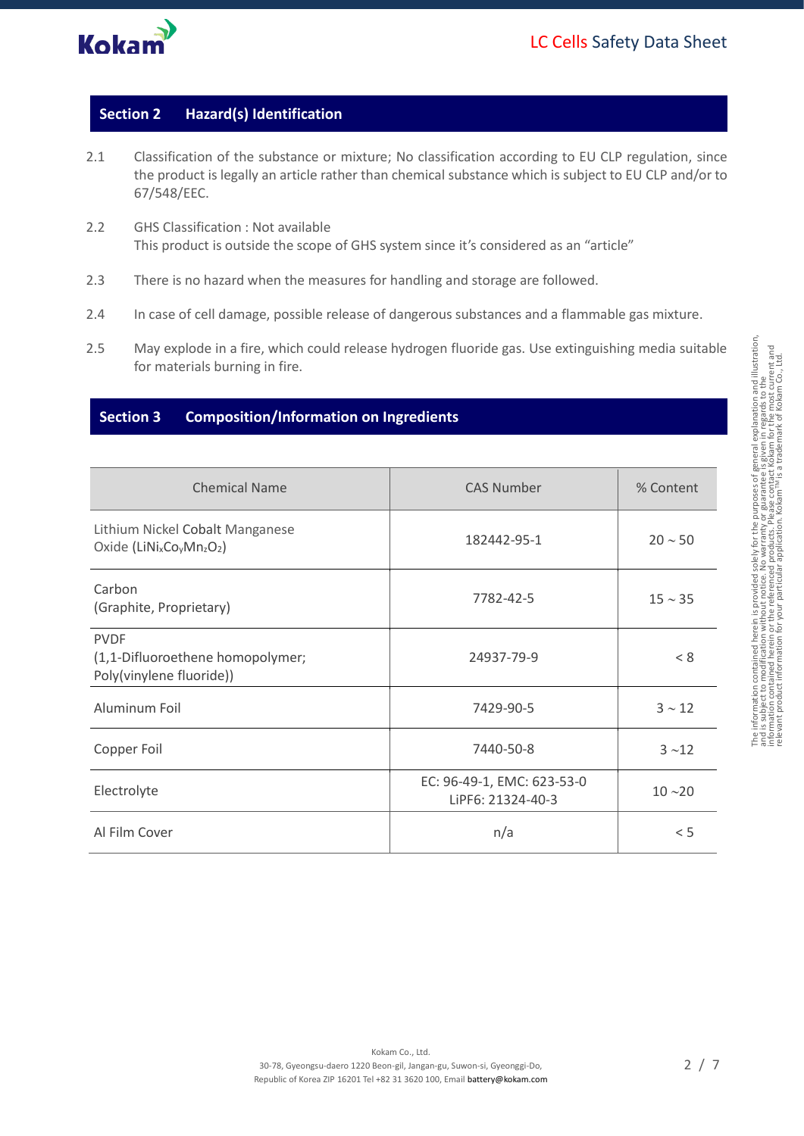

## **Section 2 Hazard(s) Identification**

- 2.1 Classification of the substance or mixture; No classification according to EU CLP regulation, since the product is legally an article rather than chemical substance which is subject to EU CLP and/or to 67/548/EEC.
- 2.2 GHS Classification : Not available This product is outside the scope of GHS system since it's considered as an "article"
- 2.3 There is no hazard when the measures for handling and storage are followed.
- 2.4 In case of cell damage, possible release of dangerous substances and a flammable gas mixture.
- 2.5 May explode in a fire, which could release hydrogen fluoride gas. Use extinguishing media suitable for materials burning in fire.

#### **Section 3 Composition/Information on Ingredients**

| <b>Chemical Name</b>                                                                                         | <b>CAS Number</b>                               | % Content    |
|--------------------------------------------------------------------------------------------------------------|-------------------------------------------------|--------------|
| Lithium Nickel Cobalt Manganese<br>Oxide (LiNi <sub>x</sub> Co <sub>v</sub> Mn <sub>z</sub> O <sub>2</sub> ) | 182442-95-1                                     | $20 \sim 50$ |
| Carbon<br>(Graphite, Proprietary)                                                                            | 7782-42-5                                       | $15 \sim 35$ |
| <b>PVDF</b><br>(1,1-Difluoroethene homopolymer;<br>Poly(vinylene fluoride))                                  | 24937-79-9                                      | < 8          |
| Aluminum Foil                                                                                                | 7429-90-5                                       | $3 \sim 12$  |
| Copper Foil                                                                                                  | 7440-50-8                                       | $3 - 12$     |
| Electrolyte                                                                                                  | EC: 96-49-1, EMC: 623-53-0<br>LiPF6: 21324-40-3 | $10 - 20$    |
| Al Film Cover                                                                                                | n/a                                             | < 5          |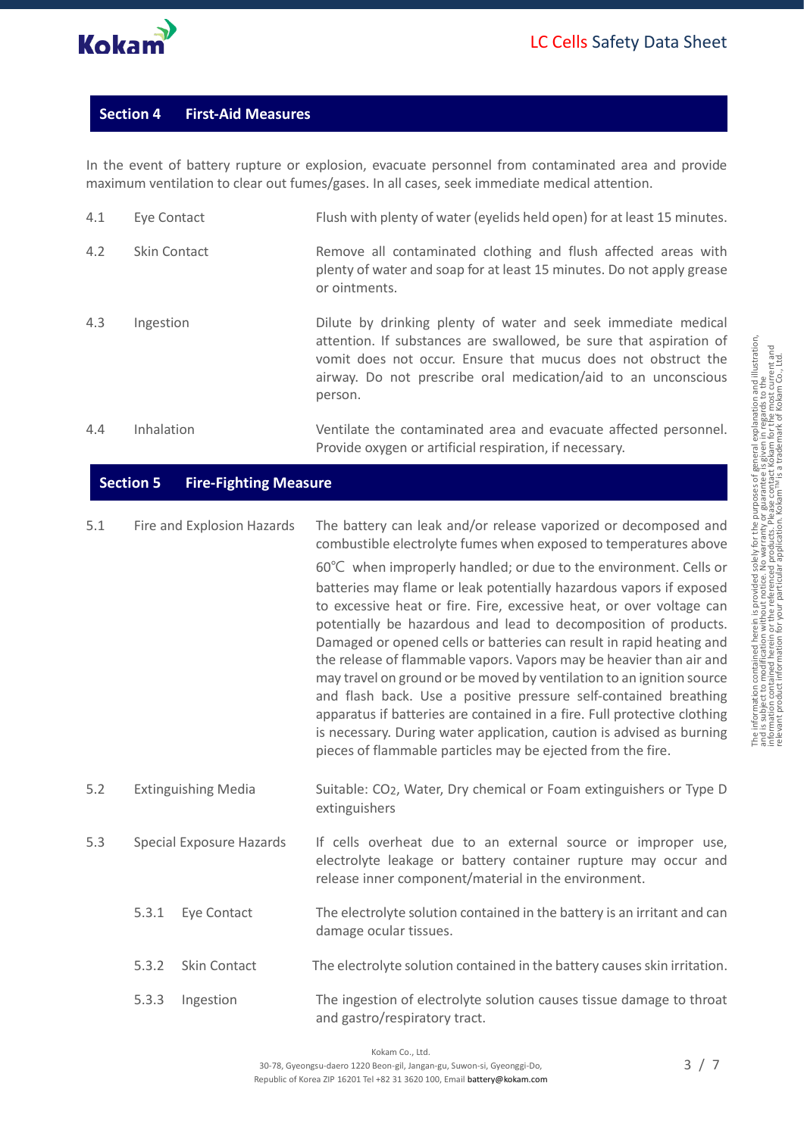

## **Section 4 First-Aid Measures**

In the event of battery rupture or explosion, evacuate personnel from contaminated area and provide maximum ventilation to clear out fumes/gases. In all cases, seek immediate medical attention.

| 4.1 | Eye Contact  | Flush with plenty of water (eyelids held open) for at least 15 minutes.                                                                                                                                                                                                           |
|-----|--------------|-----------------------------------------------------------------------------------------------------------------------------------------------------------------------------------------------------------------------------------------------------------------------------------|
| 4.2 | Skin Contact | Remove all contaminated clothing and flush affected areas with<br>plenty of water and soap for at least 15 minutes. Do not apply grease<br>or ointments.                                                                                                                          |
| 4.3 | Ingestion    | Dilute by drinking plenty of water and seek immediate medical<br>attention. If substances are swallowed, be sure that aspiration of<br>vomit does not occur. Ensure that mucus does not obstruct the<br>airway. Do not prescribe oral medication/aid to an unconscious<br>person. |
| 4.4 | Inhalation   | Ventilate the contaminated area and evacuate affected personnel.<br>Provide oxygen or artificial respiration, if necessary.                                                                                                                                                       |

### **Section 5 Fire-Fighting Measure**

| 5.1 |       | Fire and Explosion Hazards      | The battery can leak and/or release vaporized or decomposed and<br>combustible electrolyte fumes when exposed to temperatures above<br>60°C when improperly handled; or due to the environment. Cells or<br>batteries may flame or leak potentially hazardous vapors if exposed<br>to excessive heat or fire. Fire, excessive heat, or over voltage can<br>potentially be hazardous and lead to decomposition of products.<br>Damaged or opened cells or batteries can result in rapid heating and<br>the release of flammable vapors. Vapors may be heavier than air and<br>may travel on ground or be moved by ventilation to an ignition source<br>and flash back. Use a positive pressure self-contained breathing<br>apparatus if batteries are contained in a fire. Full protective clothing<br>is necessary. During water application, caution is advised as burning<br>pieces of flammable particles may be ejected from the fire. |
|-----|-------|---------------------------------|--------------------------------------------------------------------------------------------------------------------------------------------------------------------------------------------------------------------------------------------------------------------------------------------------------------------------------------------------------------------------------------------------------------------------------------------------------------------------------------------------------------------------------------------------------------------------------------------------------------------------------------------------------------------------------------------------------------------------------------------------------------------------------------------------------------------------------------------------------------------------------------------------------------------------------------------|
| 5.2 |       | <b>Extinguishing Media</b>      | Suitable: CO <sub>2</sub> , Water, Dry chemical or Foam extinguishers or Type D<br>extinguishers                                                                                                                                                                                                                                                                                                                                                                                                                                                                                                                                                                                                                                                                                                                                                                                                                                           |
| 5.3 |       | <b>Special Exposure Hazards</b> | If cells overheat due to an external source or improper use,<br>electrolyte leakage or battery container rupture may occur and<br>release inner component/material in the environment.                                                                                                                                                                                                                                                                                                                                                                                                                                                                                                                                                                                                                                                                                                                                                     |
|     | 5.3.1 | Eye Contact                     | The electrolyte solution contained in the battery is an irritant and can<br>damage ocular tissues.                                                                                                                                                                                                                                                                                                                                                                                                                                                                                                                                                                                                                                                                                                                                                                                                                                         |
|     | 5.3.2 | Skin Contact                    | The electrolyte solution contained in the battery causes skin irritation.                                                                                                                                                                                                                                                                                                                                                                                                                                                                                                                                                                                                                                                                                                                                                                                                                                                                  |
|     | 5.3.3 | Ingestion                       | The ingestion of electrolyte solution causes tissue damage to throat<br>and gastro/respiratory tract.                                                                                                                                                                                                                                                                                                                                                                                                                                                                                                                                                                                                                                                                                                                                                                                                                                      |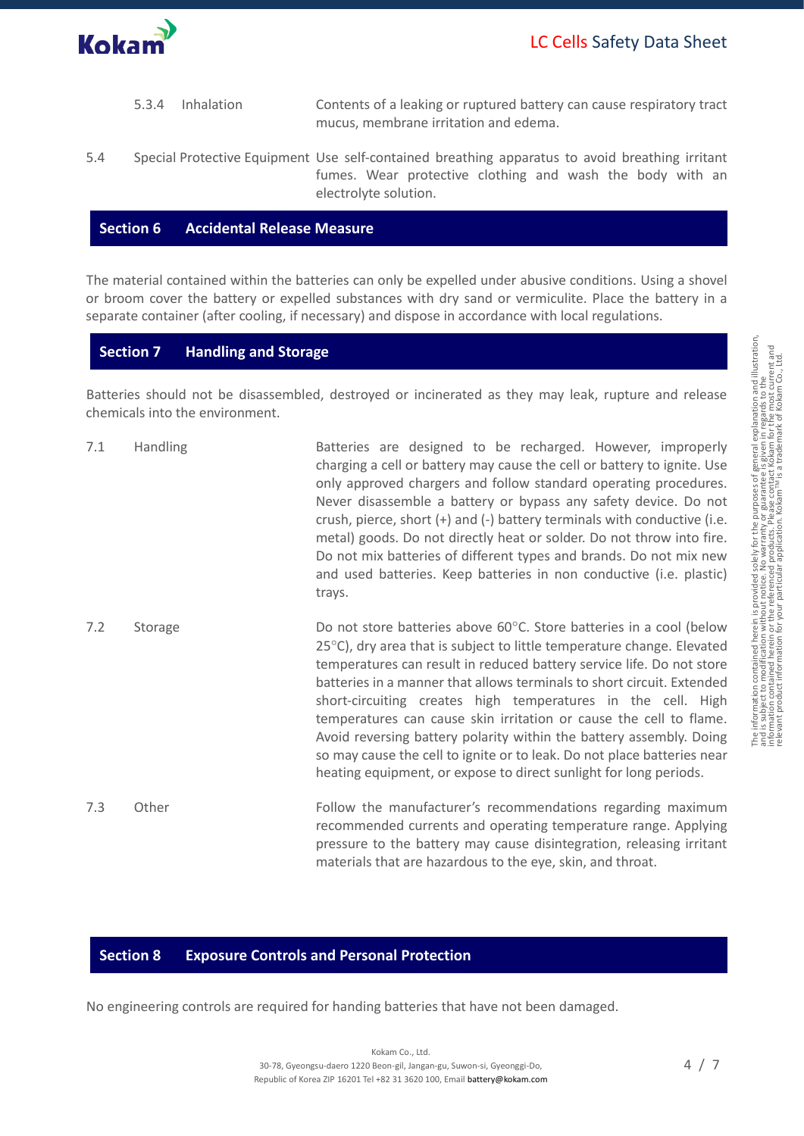- 5.3.4 Inhalation Contents of a leaking or ruptured battery can cause respiratory tract mucus, membrane irritation and edema. 5.4 Special Protective Equipment Use self-contained breathing apparatus to avoid breathing irritant
	- fumes. Wear protective clothing and wash the body with an electrolyte solution.

#### **Section 6 Accidental Release Measure**

The material contained within the batteries can only be expelled under abusive conditions. Using a shovel or broom cover the battery or expelled substances with dry sand or vermiculite. Place the battery in a separate container (after cooling, if necessary) and dispose in accordance with local regulations.

#### **Section 7 Handling and Storage**

Batteries should not be disassembled, destroyed or incinerated as they may leak, rupture and release chemicals into the environment.

| 7.1 | Handling | Batteries are designed to be recharged. However, improperly<br>charging a cell or battery may cause the cell or battery to ignite. Use<br>only approved chargers and follow standard operating procedures.<br>Never disassemble a battery or bypass any safety device. Do not<br>crush, pierce, short (+) and (-) battery terminals with conductive (i.e.<br>metal) goods. Do not directly heat or solder. Do not throw into fire.<br>Do not mix batteries of different types and brands. Do not mix new<br>and used batteries. Keep batteries in non conductive (i.e. plastic)<br>trays.                                                                     |
|-----|----------|---------------------------------------------------------------------------------------------------------------------------------------------------------------------------------------------------------------------------------------------------------------------------------------------------------------------------------------------------------------------------------------------------------------------------------------------------------------------------------------------------------------------------------------------------------------------------------------------------------------------------------------------------------------|
| 7.2 | Storage  | Do not store batteries above 60°C. Store batteries in a cool (below<br>25°C), dry area that is subject to little temperature change. Elevated<br>temperatures can result in reduced battery service life. Do not store<br>batteries in a manner that allows terminals to short circuit. Extended<br>short-circuiting creates high temperatures in the cell. High<br>temperatures can cause skin irritation or cause the cell to flame.<br>Avoid reversing battery polarity within the battery assembly. Doing<br>so may cause the cell to ignite or to leak. Do not place batteries near<br>heating equipment, or expose to direct sunlight for long periods. |
| 7.3 | Other    | Follow the manufacturer's recommendations regarding maximum<br>recommended currents and operating temperature range. Applying<br>pressure to the battery may cause disintegration, releasing irritant<br>materials that are hazardous to the eye, skin, and throat.                                                                                                                                                                                                                                                                                                                                                                                           |

#### **Section 8 Exposure Controls and Personal Protection**

No engineering controls are required for handing batteries that have not been damaged.

The information contained herein is provided solely for the purposes of general explanation and illustration,<br>and is subject to modification without notice. No warranty or guarantee is given in regards to the<br>relevant prod

The information contained herein is provided solely for the purposes of general explanation and illustration,<br>and is subject to modification without notice. No warranty or guarantee is given in regards to the<br>relevant prod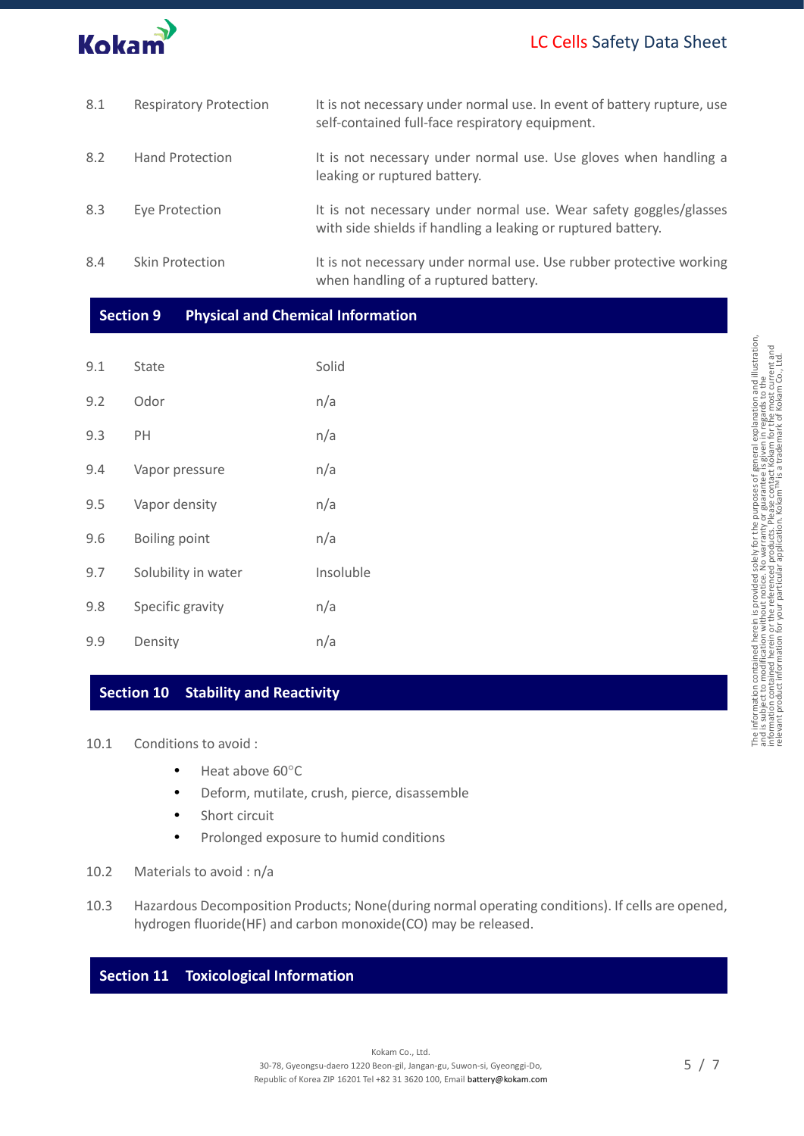# LC Cells Safety Data Sheet



| 8.1 | <b>Respiratory Protection</b> | It is not necessary under normal use. In event of battery rupture, use<br>self-contained full-face respiratory equipment.         |
|-----|-------------------------------|-----------------------------------------------------------------------------------------------------------------------------------|
| 8.2 | <b>Hand Protection</b>        | It is not necessary under normal use. Use gloves when handling a<br>leaking or ruptured battery.                                  |
| 8.3 | Eye Protection                | It is not necessary under normal use. Wear safety goggles/glasses<br>with side shields if handling a leaking or ruptured battery. |
| 8.4 | Skin Protection               | It is not necessary under normal use. Use rubber protective working<br>when handling of a ruptured battery.                       |

#### **Section 9 Physical and Chemical Information**

| 9.1 | <b>State</b>         | Solid     |
|-----|----------------------|-----------|
| 9.2 | Odor                 | n/a       |
| 9.3 | PН                   | n/a       |
| 9.4 | Vapor pressure       | n/a       |
| 9.5 | Vapor density        | n/a       |
| 9.6 | <b>Boiling point</b> | n/a       |
| 9.7 | Solubility in water  | Insoluble |
| 9.8 | Specific gravity     | n/a       |
| 9.9 | Density              | n/a       |

#### **Section 10 Stability and Reactivity**

- 10.1 Conditions to avoid :
	- $\bullet$  Heat above 60 $^{\circ}$ C
	- Deform, mutilate, crush, pierce, disassemble
	- Short circuit
	- Prolonged exposure to humid conditions
- 10.2 Materials to avoid : n/a
- 10.3 Hazardous Decomposition Products; None(during normal operating conditions). If cells are opened, hydrogen fluoride(HF) and carbon monoxide(CO) may be released.

## **Section 11 Toxicological Information**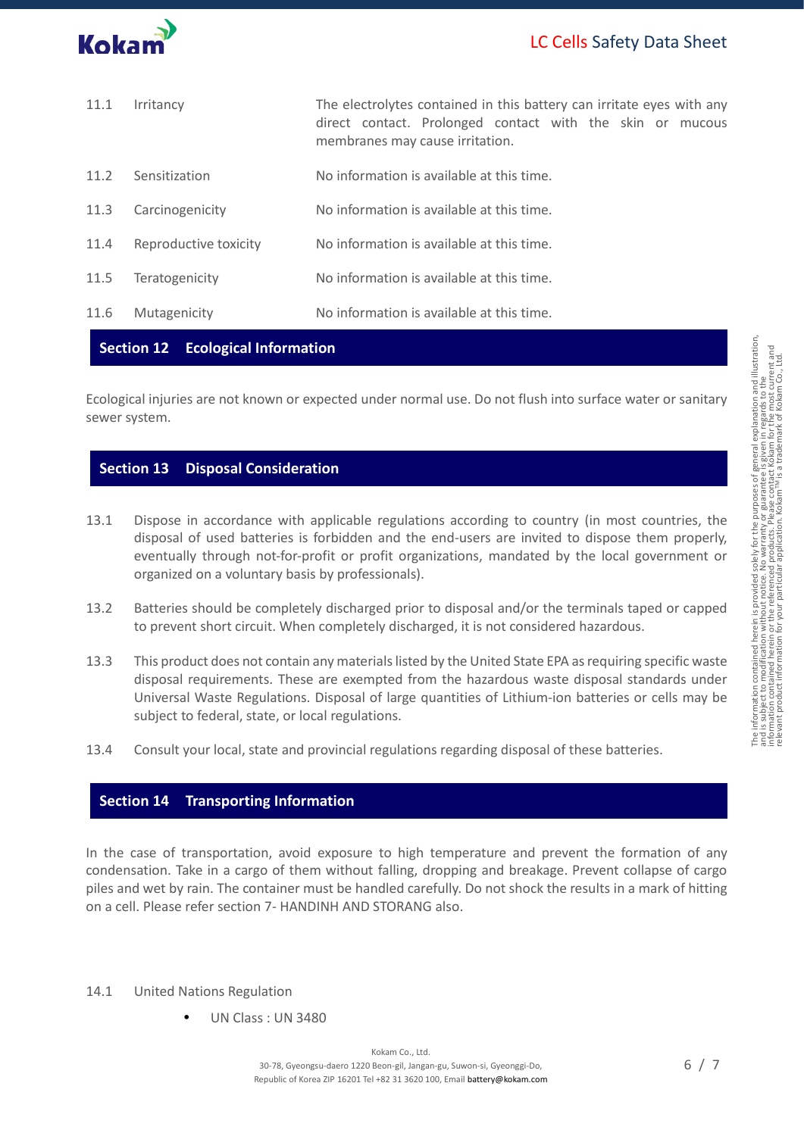

| 11.1                                     | The electrolytes contained in this battery can irritate eyes with any<br>Irritancy<br>direct contact. Prolonged contact with the skin or mucous<br>membranes may cause irritation. |                                           |  |
|------------------------------------------|------------------------------------------------------------------------------------------------------------------------------------------------------------------------------------|-------------------------------------------|--|
| 11.2                                     | Sensitization                                                                                                                                                                      | No information is available at this time. |  |
| 11.3                                     | Carcinogenicity                                                                                                                                                                    | No information is available at this time. |  |
| 11.4                                     | Reproductive toxicity                                                                                                                                                              | No information is available at this time. |  |
| 11.5                                     | Teratogenicity                                                                                                                                                                     | No information is available at this time. |  |
| 11.6                                     | Mutagenicity                                                                                                                                                                       | No information is available at this time. |  |
| <b>Section 12 Ecological Information</b> |                                                                                                                                                                                    |                                           |  |

Ecological injuries are not known or expected under normal use. Do not flush into surface water or sanitary sewer system.

#### **Section 13 Disposal Consideration**

- 13.1 Dispose in accordance with applicable regulations according to country (in most countries, the disposal of used batteries is forbidden and the end-users are invited to dispose them properly, eventually through not-for-profit or profit organizations, mandated by the local government or organized on a voluntary basis by professionals).
- 13.2 Batteries should be completely discharged prior to disposal and/or the terminals taped or capped to prevent short circuit. When completely discharged, it is not considered hazardous.
- 13.3 This product does not contain any materials listed by the United State EPA as requiring specific waste disposal requirements. These are exempted from the hazardous waste disposal standards under Universal Waste Regulations. Disposal of large quantities of Lithium-ion batteries or cells may be subject to federal, state, or local regulations.
- 13.4 Consult your local, state and provincial regulations regarding disposal of these batteries.

## **Section 14 Transporting Information**

In the case of transportation, avoid exposure to high temperature and prevent the formation of any condensation. Take in a cargo of them without falling, dropping and breakage. Prevent collapse of cargo piles and wet by rain. The container must be handled carefully. Do not shock the results in a mark of hitting on a cell. Please refer section 7- HANDINH AND STORANG also.

- 14.1 United Nations Regulation
	- UN Class : UN 3480

The information contained herein is provided solely for the purposes of general explanation and illustration,<br>and is subject to modification without notice. No warranty or guarantee is given in regards to the<br>relevant prod

The information contained herein is provided solely for the purposes of general explanation and illustration,<br>and is subject to modification without notice. No warranty or guarantee is given in regards to the<br>relevant prod